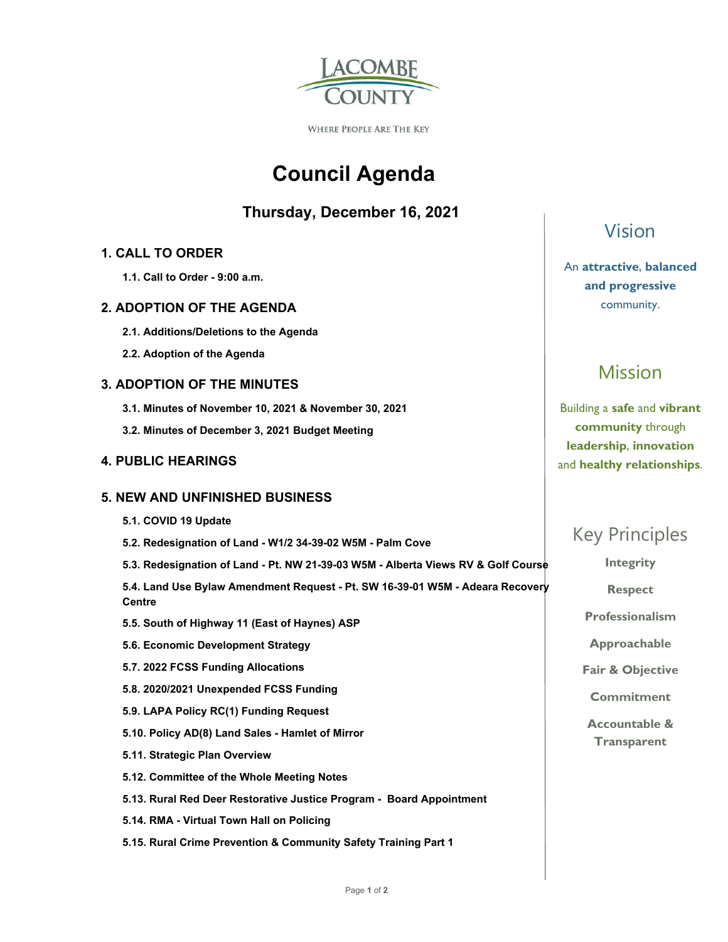

**WHERE PEOPLE ARE THE KEY** 

# **Council Agenda**

### **Thursday, December 16, 2021**

### **1. CALL TO ORDER**

 **1.1. Call to Order - 9:00 a.m.** 

### **2. ADOPTION OF THE AGENDA**

- **2.1. Additions/Deletions to the Agenda**
- **2.2. Adoption of the Agenda**

### **3. ADOPTION OF THE MINUTES**

- **3.1. Minutes of November 10, 2021 & November 30, 2021**
- **3.2. Minutes of December 3, 2021 Budget Meeting**

### **4. PUBLIC HEARINGS**

### **5. NEW AND UNFINISHED BUSINESS**

- **5.1. COVID 19 Update**
- **5.2. Redesignation of Land W1/2 34-39-02 W5M Palm Cove**
- **5.3. Redesignation of Land Pt. NW 21-39-03 W5M Alberta Views RV & Golf Course**

 **5.4. Land Use Bylaw Amendment Request - Pt. SW 16-39-01 W5M - Adeara Recovery Centre** 

- **5.5. South of Highway 11 (East of Haynes) ASP**
- **5.6. Economic Development Strategy**
- **5.7. 2022 FCSS Funding Allocations**
- **5.8. 2020/2021 Unexpended FCSS Funding**
- **5.9. LAPA Policy RC(1) Funding Request**
- **5.10. Policy AD(8) Land Sales Hamlet of Mirror**
- **5.11. Strategic Plan Overview**
- **5.12. Committee of the Whole Meeting Notes**
- **5.13. Rural Red Deer Restorative Justice Program Board Appointment**
- **5.14. RMA Virtual Town Hall on Policing**
- **5.15. Rural Crime Prevention & Community Safety Training Part 1**

# Vision

### An **attractive**, **balanced and progressive**  community.

# Mission

Building a **safe** and **vibrant community** through **leadership**, **innovation**  and **healthy relationships**.

# Key Principles

**Integrity** 

**Respect** 

**Professionalism** 

**Approachable** 

**Fair & Objective** 

**Commitment** 

**Accountable & Transparent**